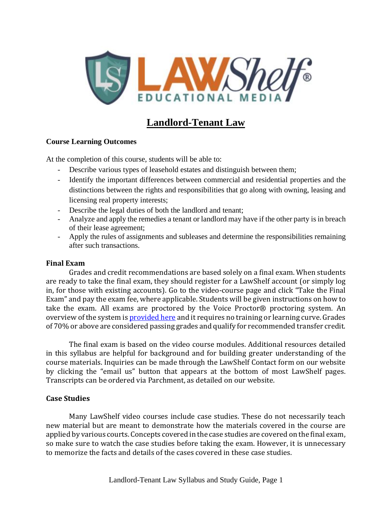

# **Landlord-Tenant Law**

### **Course Learning Outcomes**

At the completion of this course, students will be able to:

- Describe various types of leasehold estates and distinguish between them;
- Identify the important differences between commercial and residential properties and the distinctions between the rights and responsibilities that go along with owning, leasing and licensing real property interests;
- Describe the legal duties of both the landlord and tenant;
- Analyze and apply the remedies a tenant or landlord may have if the other party is in breach of their lease agreement;
- Apply the rules of assignments and subleases and determine the responsibilities remaining after such transactions.

#### **Final Exam**

Grades and credit recommendations are based solely on a final exam. When students are ready to take the final exam, they should register for a LawShelf account (or simply log in, for those with existing accounts). Go to the video-course page and click "Take the Final Exam" and pay the exam fee, where applicable. Students will be given instructions on how to take the exam. All exams are proctored by the Voice Proctor® proctoring system. An overview of the system is [provided](https://lawshelf.com/voiceproctorvideo) here and it requires no training or learning curve. Grades of 70% or above are considered passing grades and qualify for recommended transfer credit.

The final exam is based on the video course modules. Additional resources detailed in this syllabus are helpful for background and for building greater understanding of the course materials. Inquiries can be made through the LawShelf Contact form on our website by clicking the "email us" button that appears at the bottom of most LawShelf pages. Transcripts can be ordered via Parchment, as detailed on our website.

### **Case Studies**

Many LawShelf video courses include case studies. These do not necessarily teach new material but are meant to demonstrate how the materials covered in the course are applied by various courts. Concepts covered in the case studies are covered on the final exam, so make sure to watch the case studies before taking the exam. However, it is unnecessary to memorize the facts and details of the cases covered in these case studies.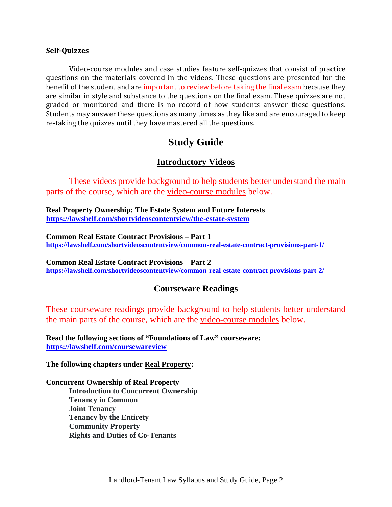#### **Self-Quizzes**

Video-course modules and case studies feature self-quizzes that consist of practice questions on the materials covered in the videos. These questions are presented for the benefit of the student and are important to review before taking the final exam because they are similar in style and substance to the questions on the final exam. These quizzes are not graded or monitored and there is no record of how students answer these questions. Students may answer these questions as many times as they like and are encouraged to keep re-taking the quizzes until they have mastered all the questions.

# **Study Guide**

## **Introductory Videos**

These videos provide background to help students better understand the main parts of the course, which are the video-course modules below.

**Real Property Ownership: The Estate System and Future Interests <https://lawshelf.com/shortvideoscontentview/the-estate-system>**

**Common Real Estate Contract Provisions – Part 1 <https://lawshelf.com/shortvideoscontentview/common-real-estate-contract-provisions-part-1/>**

**Common Real Estate Contract Provisions – Part 2 <https://lawshelf.com/shortvideoscontentview/common-real-estate-contract-provisions-part-2/>**

### **Courseware Readings**

These courseware readings provide background to help students better understand the main parts of the course, which are the video-course modules below.

**Read the following sections of "Foundations of Law" courseware: <https://lawshelf.com/coursewareview>**

**The following chapters under Real Property:**

#### **Concurrent Ownership of Real Property**

**Introduction to Concurrent Ownership Tenancy in Common Joint Tenancy Tenancy by the Entirety Community Property Rights and Duties of Co-Tenants**